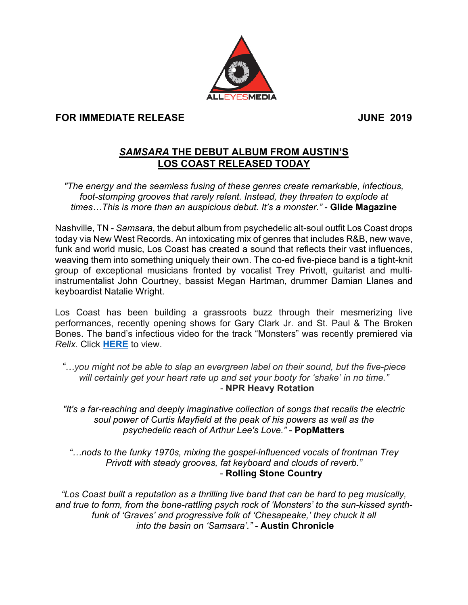

## **FOR IMMEDIATE RELEASE JUNE 2019**

## *SAMSARA* **THE DEBUT ALBUM FROM AUSTIN'S LOS COAST RELEASED TODAY**

*"The energy and the seamless fusing of these genres create remarkable, infectious,*  foot-stomping grooves that rarely relent. Instead, they threaten to explode at *times…This is more than an auspicious debut. It's a monster."* - **Glide Magazine**

Nashville, TN - *Samsara*, the debut album from psychedelic alt-soul outfit Los Coast drops today via New West Records. An intoxicating mix of genres that includes R&B, new wave, funk and world music, Los Coast has created a sound that reflects their vast influences, weaving them into something uniquely their own. The co-ed five-piece band is a tight-knit group of exceptional musicians fronted by vocalist Trey Privott, guitarist and multiinstrumentalist John Courtney, bassist Megan Hartman, drummer Damian Llanes and keyboardist Natalie Wright.

Los Coast has been building a grassroots buzz through their mesmerizing live performances, recently opening shows for Gary Clark Jr. and St. Paul & The Broken Bones. The band's infectious video for the track "Monsters" was recently premiered via *Relix*. Click **HERE** to view.

*"…you might not be able to slap an evergreen label on their sound, but the five-piece will certainly get your heart rate up and set your booty for 'shake' in no time." -* **NPR Heavy Rotation**

*"It's a far-reaching and deeply imaginative collection of songs that recalls the electric soul power of Curtis Mayfield at the peak of his powers as well as the psychedelic reach of Arthur Lee's Love."* - **PopMatters**

*"…nods to the funky 1970s, mixing the gospel-influenced vocals of frontman Trey Privott with steady grooves, fat keyboard and clouds of reverb."* - **Rolling Stone Country**

*"Los Coast built a reputation as a thrilling live band that can be hard to peg musically, and true to form, from the bone-rattling psych rock of 'Monsters' to the sun-kissed synthfunk of 'Graves' and progressive folk of 'Chesapeake,' they chuck it all into the basin on 'Samsara'."* - **Austin Chronicle**